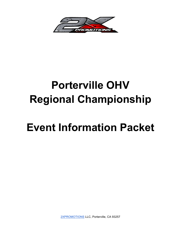

# **Porterville OHV Regional Championship**

# **Event Information Packet**

2XPROMOTIONS LLC, Porterville, CA 93257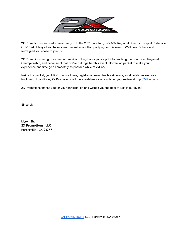

2X Promotions is excited to welcome you to the 2021 Loretta Lynn's MW Regional Championship at Porterville OHV Park. Many of you have spent the last 4 months qualifying for this event. Well now it's here and we're glad you chose to join us!

2X Promotions recognizes the hard work and long hours you've put into reaching the Southwest Regional Championship, and because of that, we've put together this event information packet to make your experience and time go as smoothly as possible while at 2xPark.

Inside this packet, you'll find practice times, registration rules, fee breakdowns, local hotels, as well as a track map. In addition, 2X Promotions will have real-time race results for your review at http://2xlive.com/.

2X Promotions thanks you for your participation and wishes you the best of luck in our event.

Sincerely,

Myron Short **2X Promotions, LLC** Porterville, CA 93257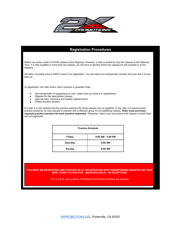

#### **Registration Procedures**

Riders can enter a total of FOUR classes at the Regional. However, a rider is limited to only two classes at the National. Thus, if a rider qualifies in more than two classes, he will have to declare which two classes he will compete in at the National.

All riders, including minors, MUST check in at registration. You will need your transponder number and your last 4 of your bike vin.

At registration, the rider and/or rider's parents or guardian shall:

- Get transponder (if supplying your own, make sure you bring it to registration).
- Register for the appropriate classes.
- Sign all entry, insurance and liability release forms.
- Obtain practice stickers.

If a rider is in two classes and the practice sessions for those classes are run together, or the rider is in back-to-back practice sessions, he may request to practice with a different group for his additional classes. **Rider must purchase separate practice sessions for each practice requested**. Otherwise, riders may not practice with classes in which they are not registered.

| <b>Practice Schedule</b> |                       |  |  |
|--------------------------|-----------------------|--|--|
| Friday                   | $9:00$ AM - $3:00$ PM |  |  |
| <b>Saturday</b>          | $8:00$ AM             |  |  |
| Sunday                   | 8:00 AM               |  |  |

#### **YOU MUST BE REGISTERED AND CHECKED IN AT REGISTRATION WITH TRANSPONDER MOUNTED ON YOUR BIKE, PRIOR TO PRACTICE - MXSPORTS RULE - NO EXCEPTION**S

This is not an open practice. Wristbands and Practice Stickers are required.

2XPROMOTIONS LLC, Porterville, CA 93257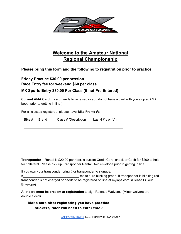

## **Welcome to the Amateur National Regional Championship**

**Please bring this form and the following to registration prior to practice.**

### **Friday Practice \$30.00 per session Race Entry fee for weekend \$60 per class**

#### **MX Sports Entry \$80.00 Per Class (If not Pre Entered)**

**Current AMA Card** (If card needs to renewed or you do not have a card with you stop at AMA booth prior to getting in line.)

For all classes registered, please have **Bike Frame #s**:

| Bike # | Brand | Class # /Description | Last 4 #'s on Vin |
|--------|-------|----------------------|-------------------|
|        |       |                      |                   |
|        |       |                      |                   |
|        |       |                      |                   |
|        |       |                      |                   |
|        |       |                      |                   |
|        |       |                      |                   |

**Transponder** – Rental is \$20.00 per rider, a current Credit Card, check or Cash for \$200 to hold for collateral. Please pick up Transponder Rental/Own envelope prior to getting in line.

If you own your transponder bring # or transponder to signups,

# transponder is not charged or needs to be registered on line at mylaps.com. (Please Fill out Envelope)

**All riders must be present at registration** to sign Release Waivers. (Minor waivers are double sided)

stickers, rider will need to enter track Make sure after registering you have practice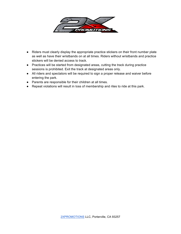

- Riders must clearly display the appropriate practice stickers on their front number plate as well as have their wristbands on at all times. Riders without wristbands and practice stickers will be denied access to track.
- Practices will be started from designated areas, cutting the track during practice sessions is prohibited. Exit the track at designated areas only.
- All riders and spectators will be required to sign a proper release and waiver before entering the park.
- Parents are responsible for their children at all times.
- Repeat violations will result in loss of membership and rites to ride at this park.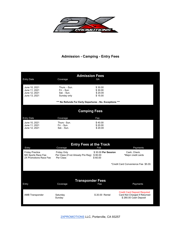

#### **Admission - Camping - Entry Fees**

| <b>Admission Fees</b><br>GA<br>Coverage                                |                                                                       |                                           |                                                                                              |  |  |  |  |
|------------------------------------------------------------------------|-----------------------------------------------------------------------|-------------------------------------------|----------------------------------------------------------------------------------------------|--|--|--|--|
| <b>Entry Date</b>                                                      |                                                                       |                                           |                                                                                              |  |  |  |  |
| June 10, 2021<br>June 11, 2021<br>June 12, 2021<br>June 13, 2021       | Thurs. - Sun.<br>Fri. - Sun.<br>Sat. - Sun.<br>Sunday only            | \$30.00<br>\$30.00<br>\$20.00<br>\$15.00  |                                                                                              |  |  |  |  |
| *** No Refunds For Early Departures - No. Exceptions ***               |                                                                       |                                           |                                                                                              |  |  |  |  |
| <b>Camping Fees</b>                                                    |                                                                       |                                           |                                                                                              |  |  |  |  |
| <b>Entry Date</b>                                                      | Coverage                                                              | Fee                                       |                                                                                              |  |  |  |  |
| June 10, 2021<br>June 11, 2021<br>June 12, 2021                        | Thurs - Sun.<br>Fri. - Sun.<br>Sat. - Sun.                            | \$40.00<br>\$20.00<br>\$20.00             |                                                                                              |  |  |  |  |
| <b>Entry Fees at the Track</b><br>Fee<br>Entry<br>Coverage<br>Payments |                                                                       |                                           |                                                                                              |  |  |  |  |
| <b>Friday Practice</b><br>MX Sports Race Fee<br>2X Promotions Race Fee | <b>Friday Only</b><br>Per Class (If not Already Pre Reg)<br>Per Class | \$30.00 Per Session<br>\$80.00<br>\$60.00 | Cash, Check,<br>*Major credit cards                                                          |  |  |  |  |
|                                                                        |                                                                       |                                           | *Credit Card Convenience Fee \$5.00.                                                         |  |  |  |  |
|                                                                        |                                                                       |                                           |                                                                                              |  |  |  |  |
| Entry                                                                  | <b>Transponder Fees</b><br>Coverage                                   | Fee                                       | Payments                                                                                     |  |  |  |  |
| AMB Transponder                                                        | Saturday<br>Sunday                                                    | \$20.00 Rental                            | <b>Credit Card Deposit Required</b><br>Card Not Charged if Returned<br>\$280.00 Cash Deposit |  |  |  |  |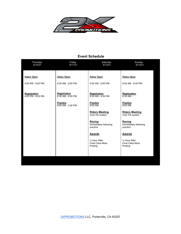

#### **Event Schedule**

| Thursday<br>6/10/21                    | Friday<br>6/11/21                                             | Saturday<br>6/12/21                                  | Sunday<br>6/13/21                                    |
|----------------------------------------|---------------------------------------------------------------|------------------------------------------------------|------------------------------------------------------|
| <b>Gates Open</b><br>4:00 PM - 9:00 PM | <b>Gates Open</b><br>6:00 AM - 9:00 PM                        | <b>Gates Open</b><br>6:00 AM - 9:00 PM               | <b>Gates Open</b><br>6:00 AM - 6:00 PM               |
| Registration                           | Registration                                                  | Registration                                         | Registration                                         |
| 4:00 PM - 8:00 PM                      | $6:30$ AM - 4:00 PM<br><b>Practice</b><br>$9:00$ AM - 3:00 PM | $6:30$ AM - 4:00 PM<br><b>Practice</b><br>8:00 AM    | $6:30$ AM -<br><b>Practice</b><br>8:00 AM            |
|                                        |                                                               | <b>Riders Meeting</b><br>Over PA system              | <b>Riders Meeting</b><br>Over PA system              |
|                                        |                                                               | Racing<br>Immediately following<br>practice          | Racing<br>Immediately following<br>practice          |
|                                        |                                                               | <b>Awards</b>                                        | <b>Awards</b>                                        |
|                                        |                                                               | 1/2 Hour After<br><b>Final Class Moto</b><br>Posting | 1/2 Hour After<br><b>Final Class Moto</b><br>Posting |
|                                        |                                                               |                                                      |                                                      |
|                                        |                                                               |                                                      |                                                      |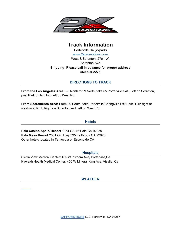

### **Track Information**

Porterville,Ca (2xpark) www.2xpromotions.com West & Scranton, 2701 W. Scranton Ave **Shipping: Please call in advance for proper address 559-500-2276**

#### **DIRECTIONS TO TRACK**

**From the Los Angeles Area:** I-5 North to 99 North, take 65 Porterville exit , Left on Scranton, past Park on left, turn left on West Rd.

**From Sacramento Area:** From 99 South, take Porterville/Springville Exit East. Turn right at westwood light, Right on Scranton and Left on West Rd

#### **Hotels**

**Pala Casino Spa & Resort** 1154 CA-76 Pala CA 92059 **Pala Mesa Resort** 2001 Old Hwy 395 Fallbrook CA 92028 Other hotels located in Temecula or Escondido CA

#### **Hospitals**

Sierra View Medical Center: 465 W Putnam Ave, Porterville,Ca Kaweah Health Medical Center: 400 W Mineral King Ave, Visalia, Ca

#### **WEATHER**